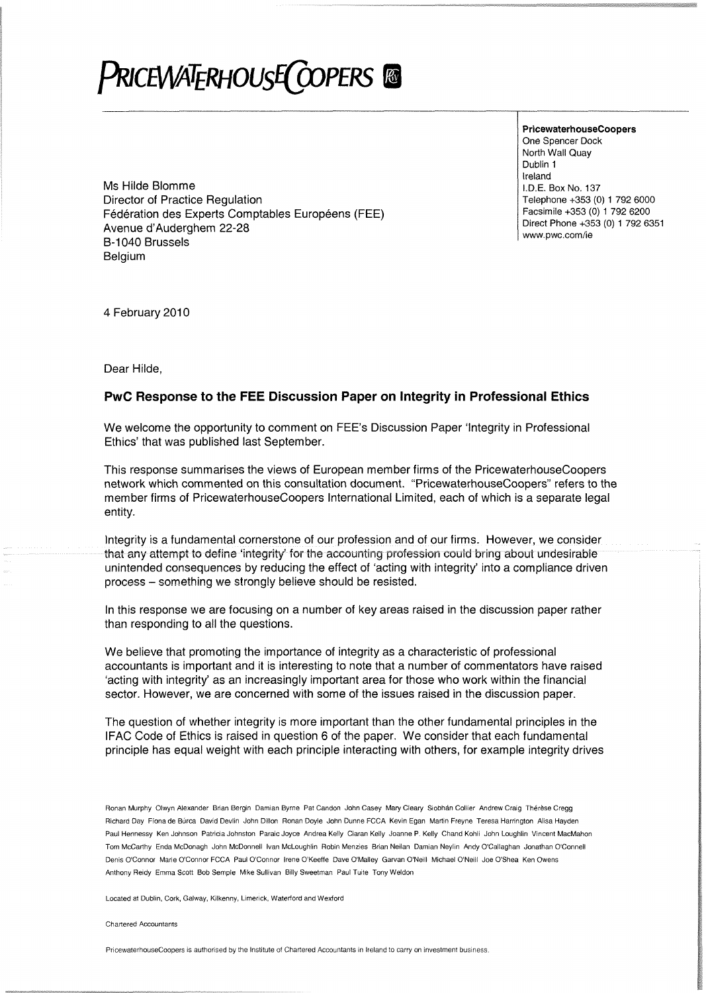## PRICEWATERHOUSE COPERS

**PricewaterhouseCoopers** One Spencer Dock North Wall Quay Dublin 1 Ireland I.D.E. Box No. 137 Telephone +353 (0) 1 792 6000 Facsimile +353 (0) 1 792 6200 Direct Phone +353 (0) 1 792 6351

Ms Hilde Blomme Director of Practice Regulation Fédération des Experts Comptables Européens (FEE) Avenue d'Auderghem 22-28 Avenue a Addergrent 22 28<br>B-1040 Brussels Belaium

4 February 2010

Dear Hilde,

Belgium

## PwC Response to the FEE Discussion Paper on Integrity in Professional Ethics

We welcome the opportunity to comment on FEE'S Discussion Paper 'Integrity in Professional Ethics' that was published last September.

This response summarises the views of European member firms of the PricewaterhouseCoopers network which commented on this consultation document. "PricewaterhouseCoopers" refers to the member firms of PricewaterhouseCoopers International Limited, each of which is a separate legal entity.

Integrity is a fundamental cornerstone of our profession and of our firms. However, we consider that any attempt to define 'integrity' for the accounting profession could bring about undesirable unintended consequences by reducing the effect of 'acting with integrity' into a compliance driven process - something we strongly believe should be resisted.

In this response we are focusing on a number of key areas raised in the discussion paper rather than responding to all the questions.

We beiieve that promoting the importance of integrity as a characteristic of professional accountants is important and it is interesting to note that a number of commentators have raised 'acting with integrity' as an increasingly important area for those who work within the financial sector. However, we are concerned with some of the issues raised in the discussion paper.

The question of whether integrity is more important than the other fundamental principles in the IFAC Code of Ethics is raised in question 6 of the paper. We consider that each fundamental principle has equal weight with each principle interacting with others, for example integrity drives

Ronan Murphy Olwyn Alexander Brian Bergin Damian Byrne Pat Candon John Casey Mary Cleary Siobhan Coiiier Andrew Craig Therese Cregg Richard Day Fiona de Burca David Devlin John Dillon Ronan Doyie John Dunne FCCA Kevin Egan Martin Freyne Teresa Harrington Alisa Hayden Paul Hennessy Ken Johnson Patricia Johnston Paraic Joyce Andrea Kelly Ciaran Kelly Joanne P. Kelly Chand Kohli John Loughlin Vincent MacMahon Tom McCarthy Enda McDonagh John McDonnell Ivan McLoughlin Robin Menzies Brian Neilan Damian Neylin Andy O'Callaghan Jonathan O'Conneli Denis O'Connor Marie O'Connor FCCA Paul O'Connor Irene O'Keetfe Dave O'Malley Garvan O'Neill Michael O'Neill Joe O'Shea Ken Owens Anthony Reidy Emma Scott Bob Semple Mike Sullivan Billy Sweetman Paul Tuite Tony Weldon

Located at Dublin, Cork, Galway, Kilkenny, Limerick, Waterford and Wexford

Chartered Accountants

PricewaterhouseCoopers is authorised by the Institute of Chartered Accountants in Ireland to carry on investment business.